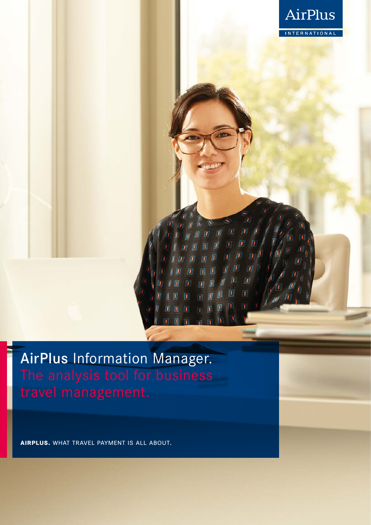

AirPlus Information Manager. The analysis tool for business

**airplus.** what travel payment is all about.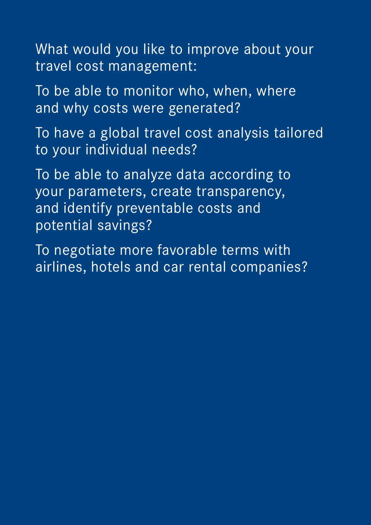What would you like to improve about your travel cost management:

To be able to monitor who, when, where and why costs were generated?

To have a global travel cost analysis tailored to your individual needs?

To be able to analyze data according to your parameters, create transparency, and identify preventable costs and potential savings?

To negotiate more favorable terms with airlines, hotels and car rental companies?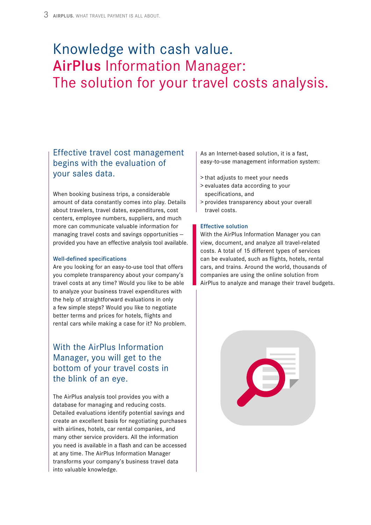# Knowledge with cash value. AirPlus Information Manager: The solution for your travel costs analysis.

## Effective travel cost management begins with the evaluation of your sales data.

When booking business trips, a considerable amount of data constantly comes into play. Details about travelers, travel dates, expenditures, cost centers, employee numbers, suppliers, and much more can communicate valuable information for managing travel costs and savings opportunities provided you have an effective analysis tool available.

### Well-defined specifications

Are you looking for an easy-to-use tool that offers you complete transparency about your company's travel costs at any time? Would you like to be able to analyze your business travel expenditures with the help of straightforward evaluations in only a few simple steps? Would you like to negotiate better terms and prices for hotels, flights and rental cars while making a case for it? No problem.

## With the AirPlus Information Manager, you will get to the bottom of your travel costs in the blink of an eye.

The AirPlus analysis tool provides you with a database for managing and reducing costs. Detailed evaluations identify potential savings and create an excellent basis for negotiating purchases with airlines, hotels, car rental companies, and many other service providers. All the information you need is available in a flash and can be accessed at any time. The AirPlus Information Manager transforms your company's business travel data into valuable knowledge.

As an Internet-based solution, it is a fast, easy-to-use management information system:

- > that adjusts to meet your needs
- > evaluates data according to your specifications, and
- > provides transparency about your overall travel costs.

### Effective solution

With the AirPlus Information Manager you can view, document, and analyze all travel-related costs. A total of 15 different types of services can be evaluated, such as flights, hotels, rental cars, and trains. Around the world, thousands of companies are using the online solution from AirPlus to analyze and manage their travel budgets.

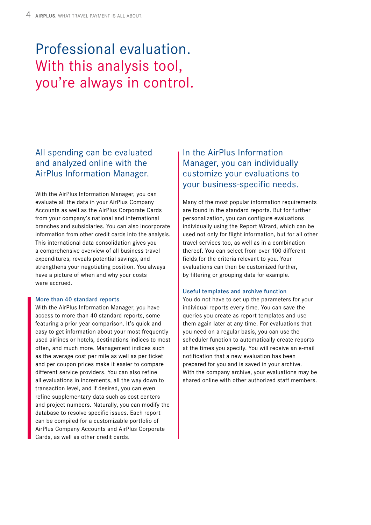# Professional evaluation. With this analysis tool, you're always in control.

# All spending can be evaluated and analyzed online with the AirPlus Information Manager.

With the AirPlus Information Manager, you can evaluate all the data in your AirPlus Company Accounts as well as the AirPlus Corporate Cards from your company's national and international branches and subsidiaries. You can also incorporate information from other credit cards into the analysis. This international data consolidation gives you a comprehensive overview of all business travel expenditures, reveals potential savings, and strengthens your negotiating position. You always have a picture of when and why your costs were accrued.

### More than 40 standard reports

With the AirPlus Information Manager, you have access to more than 40 standard reports, some featuring a prior-year comparison. It's quick and easy to get information about your most frequently used airlines or hotels, destinations indices to most often, and much more. Management indices such as the average cost per mile as well as per ticket and per coupon prices make it easier to compare different service providers. You can also refine all evaluations in increments, all the way down to transaction level, and if desired, you can even refine supplementary data such as cost centers and project numbers. Naturally, you can modify the database to resolve specific issues. Each report can be compiled for a customizable portfolio of AirPlus Company Accounts and AirPlus Corporate Cards, as well as other credit cards.

## In the AirPlus Information Manager, you can individually customize your evaluations to your business-specific needs.

Many of the most popular information requirements are found in the standard reports. But for further personalization, you can configure evaluations individually using the Report Wizard, which can be used not only for flight information, but for all other travel services too, as well as in a combination thereof. You can select from over 100 different fields for the criteria relevant to you. Your evaluations can then be customized further, by filtering or grouping data for example.

### Useful templates and archive function

You do not have to set up the parameters for your individual reports every time. You can save the queries you create as report templates and use them again later at any time. For evaluations that you need on a regular basis, you can use the scheduler function to automatically create reports at the times you specify. You will receive an e-mail notification that a new evaluation has been prepared for you and is saved in your archive. With the company archive, your evaluations may be shared online with other authorized staff members.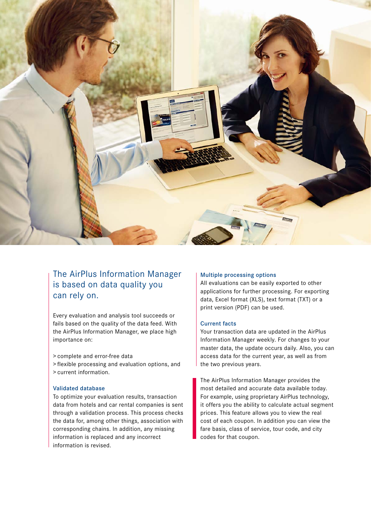

## The AirPlus Information Manager is based on data quality you can rely on.

Every evaluation and analysis tool succeeds or fails based on the quality of the data feed. With the AirPlus Information Manager, we place high importance on:

- > complete and error-free data
- > flexible processing and evaluation options, and > current information.

### Validated database

To optimize your evaluation results, transaction data from hotels and car rental companies is sent through a validation process. This process checks the data for, among other things, association with corresponding chains. In addition, any missing information is replaced and any incorrect information is revised.

### Multiple processing options

All evaluations can be easily exported to other applications for further processing. For exporting data, Excel format (XLS), text format (TXT) or a print version (PDF) can be used.

### Current facts

Your transaction data are updated in the AirPlus Information Manager weekly. For changes to your master data, the update occurs daily. Also, you can access data for the current year, as well as from the two previous years.

The AirPlus Information Manager provides the most detailed and accurate data available today. For example, using proprietary AirPlus technology, it offers you the ability to calculate actual segment prices. This feature allows you to view the real cost of each coupon. In addition you can view the fare basis, class of service, tour code, and city codes for that coupon.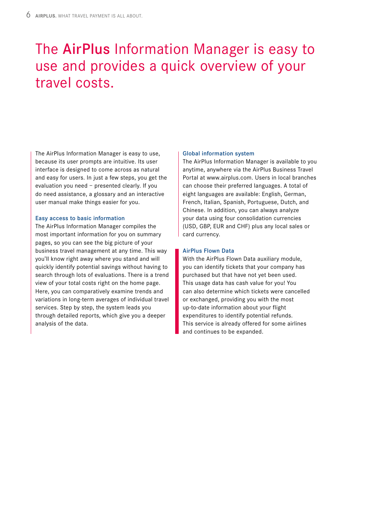# The AirPlus Information Manager is easy to use and provides a quick overview of your travel costs.

The AirPlus Information Manager is easy to use, because its user prompts are intuitive. Its user interface is designed to come across as natural and easy for users. In just a few steps, you get the evaluation you need – presented clearly. If you do need assistance, a glossary and an interactive user manual make things easier for you.

### Easy access to basic information

The AirPlus Information Manager compiles the most important information for you on summary pages, so you can see the big picture of your business travel management at any time. This way you'll know right away where you stand and will quickly identify potential savings without having to search through lots of evaluations. There is a trend view of your total costs right on the home page. Here, you can comparatively examine trends and variations in long-term averages of individual travel services. Step by step, the system leads you through detailed reports, which give you a deeper analysis of the data.

### Global information system

The AirPlus Information Manager is available to you anytime, anywhere via the AirPlus Business Travel Portal at www.airplus.com. Users in local branches can choose their preferred languages. A total of eight languages are available: English, German, French, Italian, Spanish, Portuguese, Dutch, and Chinese. In addition, you can always analyze your data using four consolidation currencies (USD, GBP, EUR and CHF) plus any local sales or card currency.

### AirPlus Flown Data

With the AirPlus Flown Data auxiliary module, you can identify tickets that your company has purchased but that have not yet been used. This usage data has cash value for you! You can also determine which tickets were cancelled or exchanged, providing you with the most up-to-date information about your flight expenditures to identify potential refunds. This service is already offered for some airlines and continues to be expanded.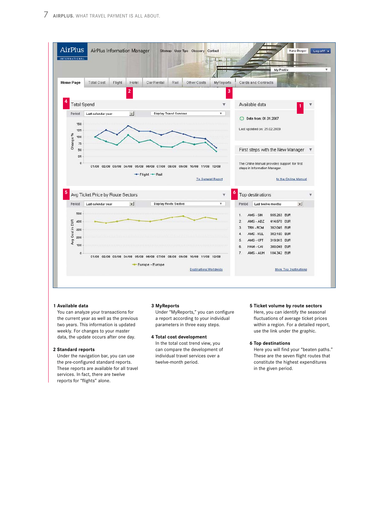

#### **1 Available data**

You can analyze your transactions for the current year as well as the previous two years. This information is updated weekly. For changes to your master data, the update occurs after one day.

#### **2 Standard reports**

Under the navigation bar, you can use the pre-configured standard reports. These reports are available for all travel services. In fact, there are twelve reports for "flights" alone.

### **3 MyReports**

Under "MyReports," you can configure a report according to your individual parameters in three easy steps.

**4 Total cost development** In the total cost trend view, you can compare the development of individual travel services over a twelve-month period.

### **5 Ticket volume by route sectors** Here, you can identify the seasonal

fluctuations of average ticket prices within a region. For a detailed report, use the link under the graphic.

### **6 Top destinations**

Here you will find your "beaten paths." These are the seven flight routes that constitute the highest expenditures in the given period.